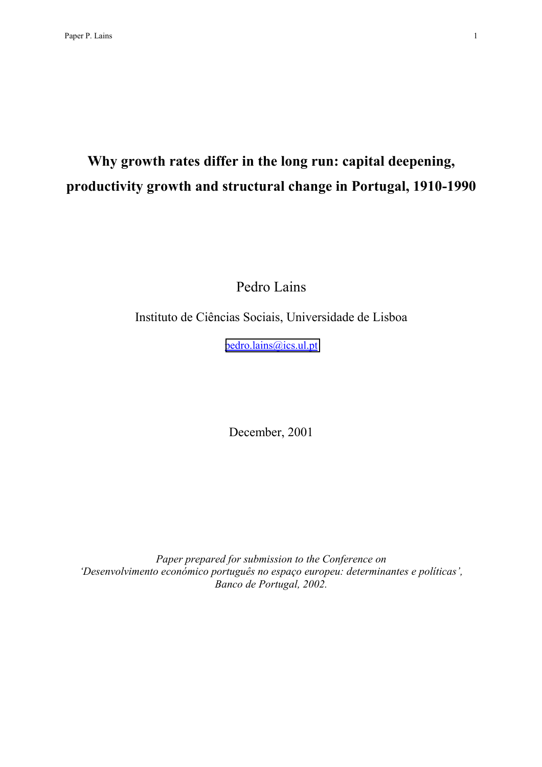# **Why growth rates differ in the long run: capital deepening, productivity growth and structural change in Portugal, 1910-1990**

Pedro Lains

Instituto de Ciências Sociais, Universidade de Lisboa

[pedro.lains@ics.ul.pt](mailto:pedro.lains@ics.ul.pt)

December, 2001

*Paper prepared for submission to the Conference on 'Desenvolvimento económico português no espaço europeu: determinantes e políticas', Banco de Portugal, 2002.*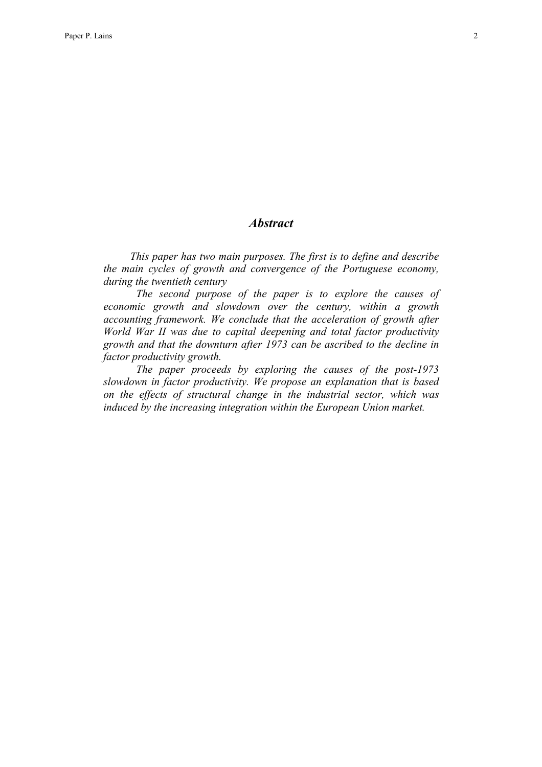# *Abstract*

*This paper has two main purposes. The first is to define and describe the main cycles of growth and convergence of the Portuguese economy, during the twentieth century* 

*The second purpose of the paper is to explore the causes of economic growth and slowdown over the century, within a growth accounting framework. We conclude that the acceleration of growth after World War II was due to capital deepening and total factor productivity growth and that the downturn after 1973 can be ascribed to the decline in factor productivity growth.* 

*The paper proceeds by exploring the causes of the post-1973 slowdown in factor productivity. We propose an explanation that is based on the effects of structural change in the industrial sector, which was induced by the increasing integration within the European Union market.*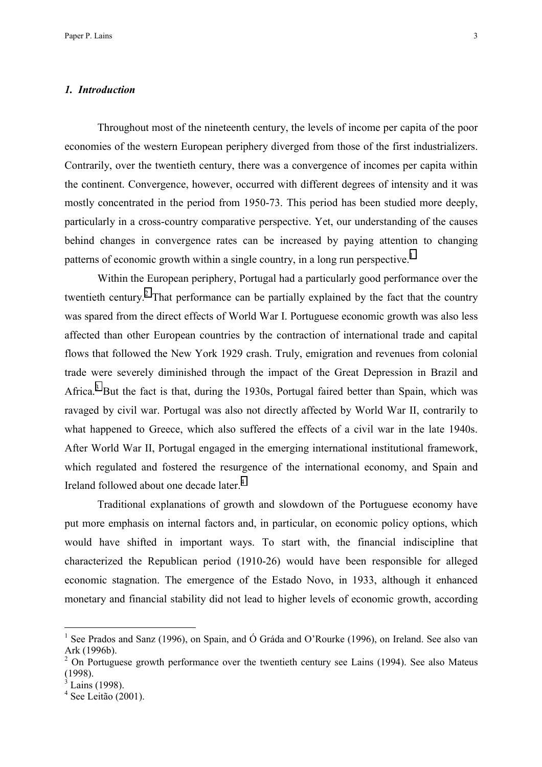### *1. Introduction*

Throughout most of the nineteenth century, the levels of income per capita of the poor economies of the western European periphery diverged from those of the first industrializers. Contrarily, over the twentieth century, there was a convergence of incomes per capita within the continent. Convergence, however, occurred with different degrees of intensity and it was mostly concentrated in the period from 1950-73. This period has been studied more deeply, particularly in a cross-country comparative perspective. Yet, our understanding of the causes behind changes in convergence rates can be increased by paying attention to changing patterns of economic growth within a single country, in a long run perspective.<sup>1</sup>

Within the European periphery, Portugal had a particularly good performance over the twentieth century.<sup>2</sup> That performance can be partially explained by the fact that the country was spared from the direct effects of World War I. Portuguese economic growth was also less affected than other European countries by the contraction of international trade and capital flows that followed the New York 1929 crash. Truly, emigration and revenues from colonial trade were severely diminished through the impact of the Great Depression in Brazil and Africa.<sup>3</sup> But the fact is that, during the 1930s, Portugal faired better than Spain, which was ravaged by civil war. Portugal was also not directly affected by World War II, contrarily to what happened to Greece, which also suffered the effects of a civil war in the late 1940s. After World War II, Portugal engaged in the emerging international institutional framework, which regulated and fostered the resurgence of the international economy, and Spain and Ireland followed about one decade later.<sup>4</sup>

Traditional explanations of growth and slowdown of the Portuguese economy have put more emphasis on internal factors and, in particular, on economic policy options, which would have shifted in important ways. To start with, the financial indiscipline that characterized the Republican period (1910-26) would have been responsible for alleged economic stagnation. The emergence of the Estado Novo, in 1933, although it enhanced monetary and financial stability did not lead to higher levels of economic growth, according

<sup>&</sup>lt;sup>1</sup> See Prados and Sanz (1996), on Spain, and Ó Gráda and O'Rourke (1996), on Ireland. See also van Ark (1996b).

 $2$  On Portuguese growth performance over the twentieth century see Lains (1994). See also Mateus (1998).

<sup>3</sup> Lains (1998).

<sup>4</sup> See Leitão (2001).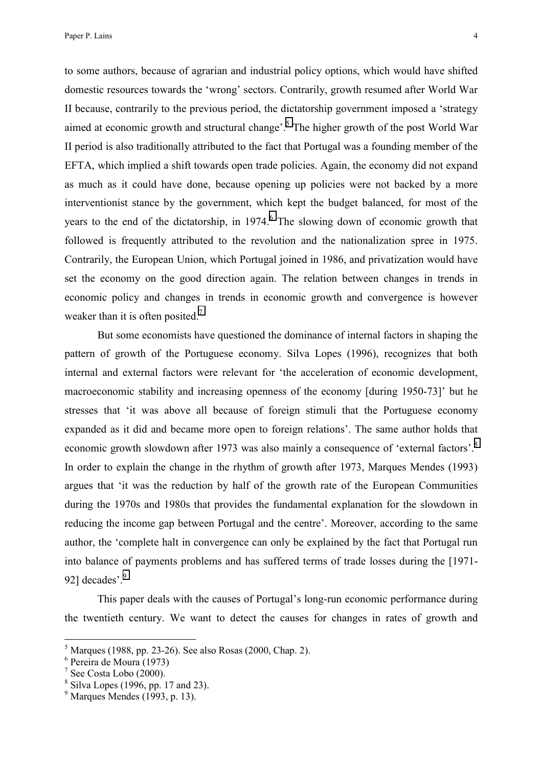to some authors, because of agrarian and industrial policy options, which would have shifted domestic resources towards the 'wrong' sectors. Contrarily, growth resumed after World War II because, contrarily to the previous period, the dictatorship government imposed a 'strategy aimed at economic growth and structural change'.<sup>5</sup> The higher growth of the post World War II period is also traditionally attributed to the fact that Portugal was a founding member of the EFTA, which implied a shift towards open trade policies. Again, the economy did not expand as much as it could have done, because opening up policies were not backed by a more interventionist stance by the government, which kept the budget balanced, for most of the years to the end of the dictatorship, in 1974.<sup>6</sup> The slowing down of economic growth that followed is frequently attributed to the revolution and the nationalization spree in 1975. Contrarily, the European Union, which Portugal joined in 1986, and privatization would have set the economy on the good direction again. The relation between changes in trends in economic policy and changes in trends in economic growth and convergence is however weaker than it is often posited.<sup>7</sup>

But some economists have questioned the dominance of internal factors in shaping the pattern of growth of the Portuguese economy. Silva Lopes (1996), recognizes that both internal and external factors were relevant for 'the acceleration of economic development, macroeconomic stability and increasing openness of the economy [during 1950-73]' but he stresses that 'it was above all because of foreign stimuli that the Portuguese economy expanded as it did and became more open to foreign relations'. The same author holds that economic growth slowdown after 1973 was also mainly a consequence of 'external factors'.<sup>8</sup> In order to explain the change in the rhythm of growth after 1973, Marques Mendes (1993) argues that 'it was the reduction by half of the growth rate of the European Communities during the 1970s and 1980s that provides the fundamental explanation for the slowdown in reducing the income gap between Portugal and the centre'. Moreover, according to the same author, the 'complete halt in convergence can only be explained by the fact that Portugal run into balance of payments problems and has suffered terms of trade losses during the [1971- 92] decades'.<sup>9</sup>

This paper deals with the causes of Portugal's long-run economic performance during the twentieth century. We want to detect the causes for changes in rates of growth and

 $<sup>5</sup>$  Marques (1988, pp. 23-26). See also Rosas (2000, Chap. 2).</sup>

<sup>6</sup> Pereira de Moura (1973)

<sup>&</sup>lt;sup>7</sup> See Costa Lobo (2000).

<sup>8</sup> Silva Lopes (1996, pp. 17 and 23).

 $<sup>9</sup>$  Marques Mendes (1993, p. 13).</sup>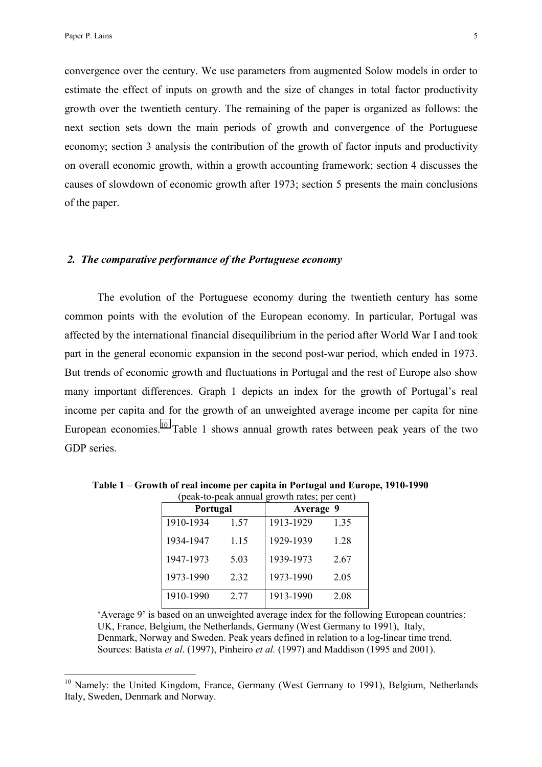$\overline{a}$ 

convergence over the century. We use parameters from augmented Solow models in order to estimate the effect of inputs on growth and the size of changes in total factor productivity growth over the twentieth century. The remaining of the paper is organized as follows: the next section sets down the main periods of growth and convergence of the Portuguese economy; section 3 analysis the contribution of the growth of factor inputs and productivity on overall economic growth, within a growth accounting framework; section 4 discusses the causes of slowdown of economic growth after 1973; section 5 presents the main conclusions of the paper.

### *2. The comparative performance of the Portuguese economy*

The evolution of the Portuguese economy during the twentieth century has some common points with the evolution of the European economy. In particular, Portugal was affected by the international financial disequilibrium in the period after World War I and took part in the general economic expansion in the second post-war period, which ended in 1973. But trends of economic growth and fluctuations in Portugal and the rest of Europe also show many important differences. Graph 1 depicts an index for the growth of Portugal's real income per capita and for the growth of an unweighted average income per capita for nine European economies.<sup>10</sup> Table 1 shows annual growth rates between peak years of the two GDP series.

| Portugal  |      | (pear-w-pear annual growth fails, per cent)<br>Average 9 |      |  |
|-----------|------|----------------------------------------------------------|------|--|
| 1910-1934 | 1.57 | 1913-1929                                                | 1.35 |  |
| 1934-1947 | 1.15 | 1929-1939                                                | 1.28 |  |
| 1947-1973 | 5.03 | 1939-1973                                                | 2.67 |  |
| 1973-1990 | 2.32 | 1973-1990                                                | 2.05 |  |
| 1910-1990 | 2.77 | 1913-1990                                                | 2.08 |  |

 **Table 1 – Growth of real income per capita in Portugal and Europe, 1910-1990**  (peak-to-peak annual growth rates; per cent)

'Average 9' is based on an unweighted average index for the following European countries: UK, France, Belgium, the Netherlands, Germany (West Germany to 1991), Italy, Denmark, Norway and Sweden. Peak years defined in relation to a log-linear time trend. Sources: Batista *et al*. (1997), Pinheiro *et al.* (1997) and Maddison (1995 and 2001).

<sup>&</sup>lt;sup>10</sup> Namely: the United Kingdom, France, Germany (West Germany to 1991), Belgium, Netherlands Italy, Sweden, Denmark and Norway.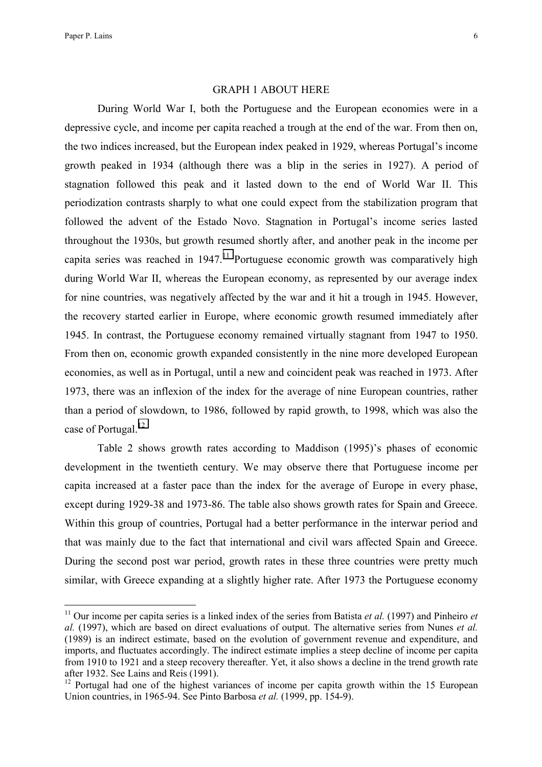$\overline{a}$ 

### GRAPH 1 ABOUT HERE

During World War I, both the Portuguese and the European economies were in a depressive cycle, and income per capita reached a trough at the end of the war. From then on, the two indices increased, but the European index peaked in 1929, whereas Portugal's income growth peaked in 1934 (although there was a blip in the series in 1927). A period of stagnation followed this peak and it lasted down to the end of World War II. This periodization contrasts sharply to what one could expect from the stabilization program that followed the advent of the Estado Novo. Stagnation in Portugal's income series lasted throughout the 1930s, but growth resumed shortly after, and another peak in the income per capita series was reached in  $1947$ .<sup>11</sup> Portuguese economic growth was comparatively high during World War II, whereas the European economy, as represented by our average index for nine countries, was negatively affected by the war and it hit a trough in 1945. However, the recovery started earlier in Europe, where economic growth resumed immediately after 1945. In contrast, the Portuguese economy remained virtually stagnant from 1947 to 1950. From then on, economic growth expanded consistently in the nine more developed European economies, as well as in Portugal, until a new and coincident peak was reached in 1973. After 1973, there was an inflexion of the index for the average of nine European countries, rather than a period of slowdown, to 1986, followed by rapid growth, to 1998, which was also the case of Portugal.<sup>12</sup>

Table 2 shows growth rates according to Maddison (1995)'s phases of economic development in the twentieth century. We may observe there that Portuguese income per capita increased at a faster pace than the index for the average of Europe in every phase, except during 1929-38 and 1973-86. The table also shows growth rates for Spain and Greece. Within this group of countries, Portugal had a better performance in the interwar period and that was mainly due to the fact that international and civil wars affected Spain and Greece. During the second post war period, growth rates in these three countries were pretty much similar, with Greece expanding at a slightly higher rate. After 1973 the Portuguese economy

<sup>&</sup>lt;sup>11</sup> Our income per capita series is a linked index of the series from Batista *et al.* (1997) and Pinheiro *et al.* (1997), which are based on direct evaluations of output. The alternative series from Nunes *et al.*  (1989) is an indirect estimate, based on the evolution of government revenue and expenditure, and imports, and fluctuates accordingly. The indirect estimate implies a steep decline of income per capita from 1910 to 1921 and a steep recovery thereafter. Yet, it also shows a decline in the trend growth rate after 1932. See Lains and Reis (1991).

 $12$  Portugal had one of the highest variances of income per capita growth within the 15 European Union countries, in 1965-94. See Pinto Barbosa *et al.* (1999, pp. 154-9).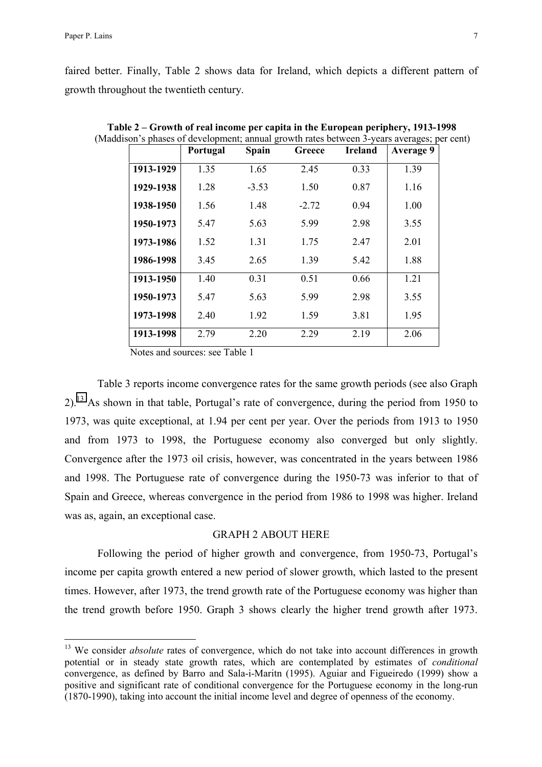$\overline{a}$ 

faired better. Finally, Table 2 shows data for Ireland, which depicts a different pattern of growth throughout the twentieth century.

|           | Portugal | <b>Spain</b> | Greece  | <b>Ireland</b> | <b>Average 9</b> |
|-----------|----------|--------------|---------|----------------|------------------|
| 1913-1929 | 1.35     | 1.65         | 2.45    | 0.33           | 1.39             |
| 1929-1938 | 1.28     | $-3.53$      | 1.50    | 0.87           | 1.16             |
| 1938-1950 | 1.56     | 1.48         | $-2.72$ | 0.94           | 1.00             |
| 1950-1973 | 5.47     | 5.63         | 5.99    | 2.98           | 3.55             |
| 1973-1986 | 1.52     | 1.31         | 1.75    | 2.47           | 2.01             |
| 1986-1998 | 3.45     | 2.65         | 1.39    | 5.42           | 1.88             |
| 1913-1950 | 1.40     | 0.31         | 0.51    | 0.66           | 1.21             |
| 1950-1973 | 5.47     | 5.63         | 5.99    | 2.98           | 3.55             |
| 1973-1998 | 2.40     | 1.92         | 1.59    | 3.81           | 1.95             |
| 1913-1998 | 2.79     | 2.20         | 2 2 9   | 2.19           | 2.06             |

 **Table 2 – Growth of real income per capita in the European periphery, 1913-1998** (Maddison's phases of development; annual growth rates between 3-years averages; per cent)

Notes and sources: see Table 1

Table 3 reports income convergence rates for the same growth periods (see also Graph  $2)$ .<sup>13</sup> As shown in that table, Portugal's rate of convergence, during the period from 1950 to 1973, was quite exceptional, at 1.94 per cent per year. Over the periods from 1913 to 1950 and from 1973 to 1998, the Portuguese economy also converged but only slightly. Convergence after the 1973 oil crisis, however, was concentrated in the years between 1986 and 1998. The Portuguese rate of convergence during the 1950-73 was inferior to that of Spain and Greece, whereas convergence in the period from 1986 to 1998 was higher. Ireland was as, again, an exceptional case.

# GRAPH 2 ABOUT HERE

Following the period of higher growth and convergence, from 1950-73, Portugal's income per capita growth entered a new period of slower growth, which lasted to the present times. However, after 1973, the trend growth rate of the Portuguese economy was higher than the trend growth before 1950. Graph 3 shows clearly the higher trend growth after 1973.

<sup>&</sup>lt;sup>13</sup> We consider *absolute* rates of convergence, which do not take into account differences in growth potential or in steady state growth rates, which are contemplated by estimates of *conditional*  convergence, as defined by Barro and Sala-i-Maritn (1995). Aguiar and Figueiredo (1999) show a positive and significant rate of conditional convergence for the Portuguese economy in the long-run (1870-1990), taking into account the initial income level and degree of openness of the economy.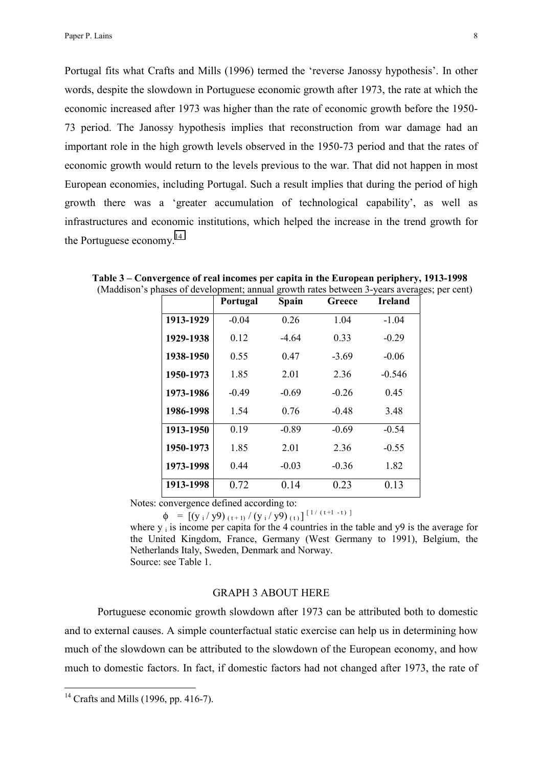Portugal fits what Crafts and Mills (1996) termed the 'reverse Janossy hypothesis'. In other words, despite the slowdown in Portuguese economic growth after 1973, the rate at which the economic increased after 1973 was higher than the rate of economic growth before the 1950- 73 period. The Janossy hypothesis implies that reconstruction from war damage had an important role in the high growth levels observed in the 1950-73 period and that the rates of economic growth would return to the levels previous to the war. That did not happen in most European economies, including Portugal. Such a result implies that during the period of high growth there was a 'greater accumulation of technological capability', as well as infrastructures and economic institutions, which helped the increase in the trend growth for the Portuguese economy.<sup>14</sup>

|           | Portugal | Spain   | Greece  | <b>Ireland</b> |
|-----------|----------|---------|---------|----------------|
| 1913-1929 | $-0.04$  | 0.26    | 1.04    | $-1.04$        |
| 1929-1938 | 0.12     | -4 64   | 0.33    | $-0.29$        |
| 1938-1950 | 0.55     | 0.47    | $-3.69$ | $-0.06$        |
| 1950-1973 | 1.85     | 2.01    | 2.36    | $-0.546$       |
| 1973-1986 | $-0.49$  | $-0.69$ | $-0.26$ | 0.45           |
| 1986-1998 | 1.54     | 0.76    | $-0.48$ | 3.48           |
| 1913-1950 | 0.19     | $-0.89$ | $-0.69$ | $-0.54$        |
| 1950-1973 | 1.85     | 2.01    | 2.36    | $-0.55$        |
| 1973-1998 | 0.44     | $-0.03$ | $-0.36$ | 1.82           |
| 1913-1998 | 0.72     | 0.14    | 0.23    | 0.13           |

 **Table 3 – Convergence of real incomes per capita in the European periphery, 1913-1998**  (Maddison's phases of development; annual growth rates between 3-years averages; per cent)

Notes: convergence defined according to:

 $\phi = [(\frac{y_i}{y9})_{(t+1)}/(\frac{y_i}{y9})_{(t)}]^{[1/(t+1-t)]}$ where  $y_i$  is income per capita for the 4 countries in the table and  $y9$  is the average for the United Kingdom, France, Germany (West Germany to 1991), Belgium, the Netherlands Italy, Sweden, Denmark and Norway. Source: see Table 1.

# GRAPH 3 ABOUT HERE

Portuguese economic growth slowdown after 1973 can be attributed both to domestic and to external causes. A simple counterfactual static exercise can help us in determining how much of the slowdown can be attributed to the slowdown of the European economy, and how much to domestic factors. In fact, if domestic factors had not changed after 1973, the rate of

<sup>&</sup>lt;sup>14</sup> Crafts and Mills (1996, pp. 416-7).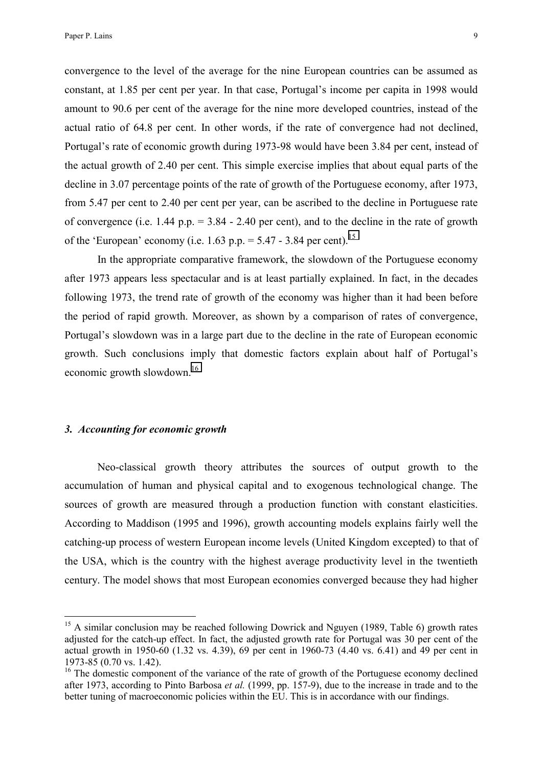convergence to the level of the average for the nine European countries can be assumed as constant, at 1.85 per cent per year. In that case, Portugal's income per capita in 1998 would amount to 90.6 per cent of the average for the nine more developed countries, instead of the actual ratio of 64.8 per cent. In other words, if the rate of convergence had not declined, Portugal's rate of economic growth during 1973-98 would have been 3.84 per cent, instead of the actual growth of 2.40 per cent. This simple exercise implies that about equal parts of the decline in 3.07 percentage points of the rate of growth of the Portuguese economy, after 1973, from 5.47 per cent to 2.40 per cent per year, can be ascribed to the decline in Portuguese rate of convergence (i.e.  $1.44$  p.p. =  $3.84 - 2.40$  per cent), and to the decline in the rate of growth of the 'European' economy (i.e. 1.63 p.p.  $= 5.47 - 3.84$  per cent).<sup>15</sup>

In the appropriate comparative framework, the slowdown of the Portuguese economy after 1973 appears less spectacular and is at least partially explained. In fact, in the decades following 1973, the trend rate of growth of the economy was higher than it had been before the period of rapid growth. Moreover, as shown by a comparison of rates of convergence, Portugal's slowdown was in a large part due to the decline in the rate of European economic growth. Such conclusions imply that domestic factors explain about half of Portugal's economic growth slowdown.16

### *3. Accounting for economic growth*

 $\overline{a}$ 

Neo-classical growth theory attributes the sources of output growth to the accumulation of human and physical capital and to exogenous technological change. The sources of growth are measured through a production function with constant elasticities. According to Maddison (1995 and 1996), growth accounting models explains fairly well the catching-up process of western European income levels (United Kingdom excepted) to that of the USA, which is the country with the highest average productivity level in the twentieth century. The model shows that most European economies converged because they had higher

<sup>&</sup>lt;sup>15</sup> A similar conclusion may be reached following Dowrick and Nguyen (1989, Table 6) growth rates adjusted for the catch-up effect. In fact, the adjusted growth rate for Portugal was 30 per cent of the actual growth in 1950-60 (1.32 vs. 4.39), 69 per cent in 1960-73 (4.40 vs. 6.41) and 49 per cent in 1973-85 (0.70 vs. 1.42).

<sup>&</sup>lt;sup>16</sup> The domestic component of the variance of the rate of growth of the Portuguese economy declined after 1973, according to Pinto Barbosa *et al.* (1999, pp. 157-9), due to the increase in trade and to the better tuning of macroeconomic policies within the EU. This is in accordance with our findings.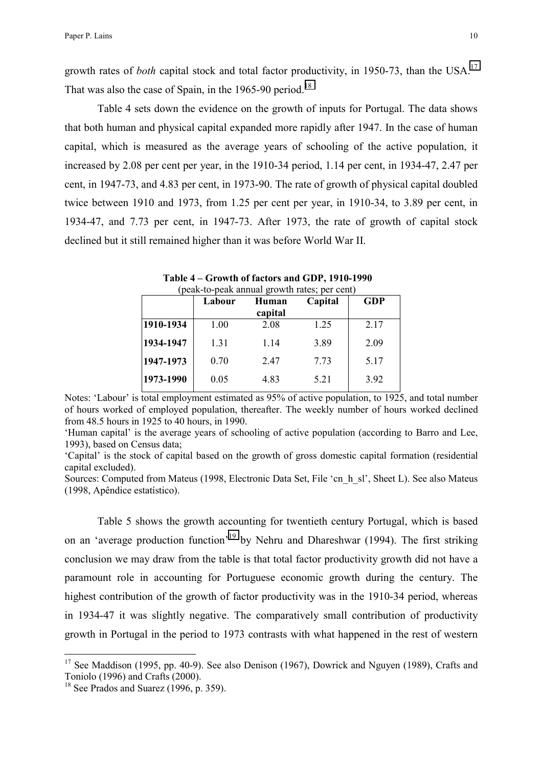growth rates of *both* capital stock and total factor productivity, in 1950-73, than the USA.<sup>17</sup> That was also the case of Spain, in the 1965-90 period.<sup>18</sup>

Table 4 sets down the evidence on the growth of inputs for Portugal. The data shows that both human and physical capital expanded more rapidly after 1947. In the case of human capital, which is measured as the average years of schooling of the active population, it increased by 2.08 per cent per year, in the 1910-34 period, 1.14 per cent, in 1934-47, 2.47 per cent, in 1947-73, and 4.83 per cent, in 1973-90. The rate of growth of physical capital doubled twice between 1910 and 1973, from 1.25 per cent per year, in 1910-34, to 3.89 per cent, in 1934-47, and 7.73 per cent, in 1947-73. After 1973, the rate of growth of capital stock declined but it still remained higher than it was before World War II.

|           | Labour | Capital<br>Human<br>capital |      | <b>GDP</b> |
|-----------|--------|-----------------------------|------|------------|
| 1910-1934 | 1.00   | 2.08                        | 1.25 | 2.17       |
| 1934-1947 | 1.31   | 1.14                        | 3.89 | 2.09       |
| 1947-1973 | 0.70   | 2.47                        | 7.73 | 5.17       |
| 1973-1990 | 0.05   | 4.83                        | 5.21 | 3.92       |

**Table 4 – Growth of factors and GDP, 1910-1990**  (peak-to-peak annual growth rates; per cent)

Notes: 'Labour' is total employment estimated as 95% of active population, to 1925, and total number of hours worked of employed population, thereafter. The weekly number of hours worked declined from 48.5 hours in 1925 to 40 hours, in 1990.

'Human capital' is the average years of schooling of active population (according to Barro and Lee, 1993), based on Census data;

'Capital' is the stock of capital based on the growth of gross domestic capital formation (residential capital excluded).

Sources: Computed from Mateus (1998, Electronic Data Set, File 'cn\_h\_sl', Sheet L). See also Mateus (1998, Apêndice estatístico).

Table 5 shows the growth accounting for twentieth century Portugal, which is based on an 'average production function'19 by Nehru and Dhareshwar (1994). The first striking conclusion we may draw from the table is that total factor productivity growth did not have a paramount role in accounting for Portuguese economic growth during the century. The highest contribution of the growth of factor productivity was in the 1910-34 period, whereas in 1934-47 it was slightly negative. The comparatively small contribution of productivity growth in Portugal in the period to 1973 contrasts with what happened in the rest of western

 $17$  See Maddison (1995, pp. 40-9). See also Denison (1967), Dowrick and Nguyen (1989), Crafts and Toniolo (1996) and Crafts (2000).

 $18$  See Prados and Suarez (1996, p. 359).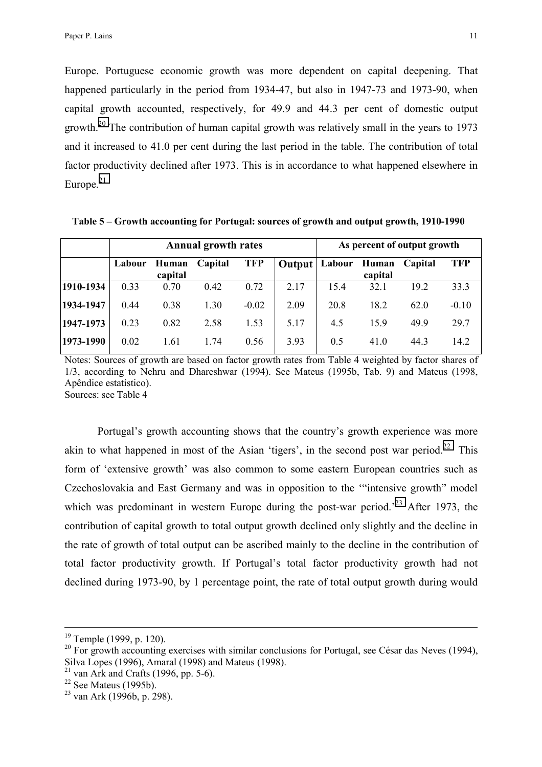Europe. Portuguese economic growth was more dependent on capital deepening. That happened particularly in the period from 1934-47, but also in 1947-73 and 1973-90, when capital growth accounted, respectively, for 49.9 and 44.3 per cent of domestic output growth.<sup>20</sup> The contribution of human capital growth was relatively small in the years to 1973 and it increased to 41.0 per cent during the last period in the table. The contribution of total factor productivity declined after 1973. This is in accordance to what happened elsewhere in Europe. $21$ 

|           |        |                  | <b>Annual growth rates</b> | As percent of output growth |        |        |                  |         |         |
|-----------|--------|------------------|----------------------------|-----------------------------|--------|--------|------------------|---------|---------|
|           | Labour | Human<br>capital | Capital                    | <b>TFP</b>                  | Output | Labour | Human<br>capital | Capital | TFP     |
| 1910-1934 | 0.33   | 0.70             | 0.42                       | 0.72                        | 2.17   | 15.4   | 32.1             | 192     | 33.3    |
| 1934-1947 | 0.44   | 0.38             | 1.30                       | $-0.02$                     | 2.09   | 20.8   | 18.2             | 62.0    | $-0.10$ |
| 1947-1973 | 0.23   | 0.82             | 2.58                       | 1.53                        | 5.17   | 4.5    | 159              | 49.9    | 29.7    |
| 1973-1990 | 0.02   | 1.61             | 1.74                       | 0.56                        | 3.93   | 0.5    | 41.0             | 44.3    | 14.2    |

 **Table 5 – Growth accounting for Portugal: sources of growth and output growth, 1910-1990**

Notes: Sources of growth are based on factor growth rates from Table 4 weighted by factor shares of 1/3, according to Nehru and Dhareshwar (1994). See Mateus (1995b, Tab. 9) and Mateus (1998, Apêndice estatístico). Sources: see Table 4

Portugal's growth accounting shows that the country's growth experience was more akin to what happened in most of the Asian 'tigers', in the second post war period.<sup>22</sup> This form of 'extensive growth' was also common to some eastern European countries such as Czechoslovakia and East Germany and was in opposition to the '"intensive growth" model which was predominant in western Europe during the post-war period.<sup> $23$ </sup> After 1973, the contribution of capital growth to total output growth declined only slightly and the decline in the rate of growth of total output can be ascribed mainly to the decline in the contribution of total factor productivity growth. If Portugal's total factor productivity growth had not declined during 1973-90, by 1 percentage point, the rate of total output growth during would

 $19$  Temple (1999, p. 120).

 $20$  For growth accounting exercises with similar conclusions for Portugal, see César das Neves (1994), Silva Lopes (1996), Amaral (1998) and Mateus (1998).

 $21$  van Ark and Crafts (1996, pp. 5-6).

 $22$  See Mateus (1995b).

<sup>23</sup> van Ark (1996b, p. 298).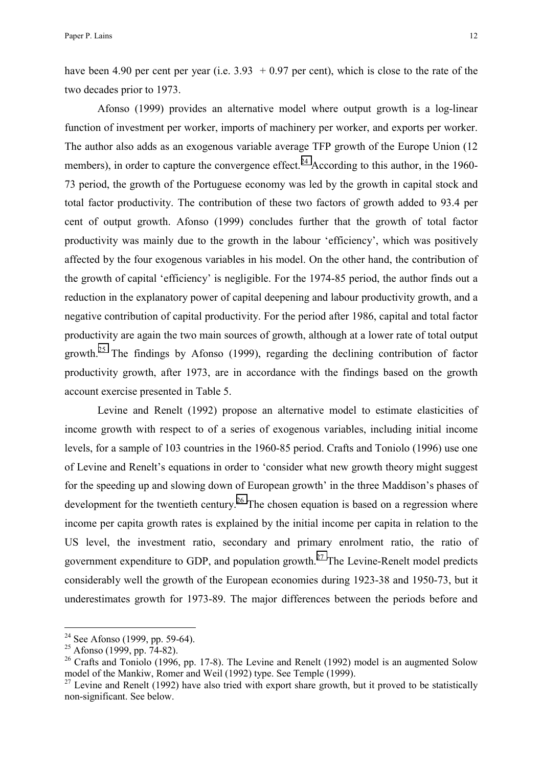have been 4.90 per cent per year (i.e.  $3.93 + 0.97$  per cent), which is close to the rate of the two decades prior to 1973.

Afonso (1999) provides an alternative model where output growth is a log-linear function of investment per worker, imports of machinery per worker, and exports per worker. The author also adds as an exogenous variable average TFP growth of the Europe Union (12 members), in order to capture the convergence effect.<sup>24</sup> According to this author, in the 1960-73 period, the growth of the Portuguese economy was led by the growth in capital stock and total factor productivity. The contribution of these two factors of growth added to 93.4 per cent of output growth. Afonso (1999) concludes further that the growth of total factor productivity was mainly due to the growth in the labour 'efficiency', which was positively affected by the four exogenous variables in his model. On the other hand, the contribution of the growth of capital 'efficiency' is negligible. For the 1974-85 period, the author finds out a reduction in the explanatory power of capital deepening and labour productivity growth, and a negative contribution of capital productivity. For the period after 1986, capital and total factor productivity are again the two main sources of growth, although at a lower rate of total output growth.<sup>25</sup> The findings by Afonso (1999), regarding the declining contribution of factor productivity growth, after 1973, are in accordance with the findings based on the growth account exercise presented in Table 5.

Levine and Renelt (1992) propose an alternative model to estimate elasticities of income growth with respect to of a series of exogenous variables, including initial income levels, for a sample of 103 countries in the 1960-85 period. Crafts and Toniolo (1996) use one of Levine and Renelt's equations in order to 'consider what new growth theory might suggest for the speeding up and slowing down of European growth' in the three Maddison's phases of development for the twentieth century.<sup>26</sup> The chosen equation is based on a regression where income per capita growth rates is explained by the initial income per capita in relation to the US level, the investment ratio, secondary and primary enrolment ratio, the ratio of government expenditure to GDP, and population growth.<sup>27</sup> The Levine-Renelt model predicts considerably well the growth of the European economies during 1923-38 and 1950-73, but it underestimates growth for 1973-89. The major differences between the periods before and

<sup>&</sup>lt;sup>24</sup> See Afonso (1999, pp. 59-64).

 $25$  Afonso (1999, pp.  $74-82$ ).

<sup>&</sup>lt;sup>26</sup> Crafts and Toniolo (1996, pp. 17-8). The Levine and Renelt (1992) model is an augmented Solow model of the Mankiw, Romer and Weil (1992) type. See Temple (1999).

 $^{27}$  Levine and Renelt (1992) have also tried with export share growth, but it proved to be statistically non-significant. See below.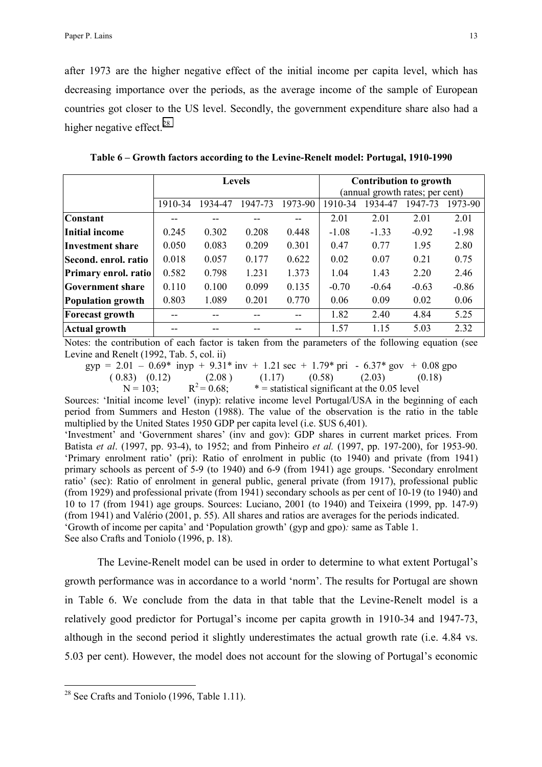after 1973 are the higher negative effect of the initial income per capita level, which has decreasing importance over the periods, as the average income of the sample of European countries got closer to the US level. Secondly, the government expenditure share also had a higher negative effect.<sup>28</sup>

|                             | <b>Levels</b> |         |         |         | <b>Contribution to growth</b><br>(annual growth rates; per cent) |         |         |         |
|-----------------------------|---------------|---------|---------|---------|------------------------------------------------------------------|---------|---------|---------|
|                             | 1910-34       | 1934-47 | 1947-73 | 1973-90 | 1910-34                                                          | 1934-47 | 1947-73 | 1973-90 |
| <b>Constant</b>             |               |         |         |         | 2.01                                                             | 2.01    | 2.01    | 2.01    |
| Initial income              | 0.245         | 0.302   | 0.208   | 0.448   | $-1.08$                                                          | $-1.33$ | $-0.92$ | $-1.98$ |
| <b>Investment share</b>     | 0.050         | 0.083   | 0.209   | 0.301   | 0.47                                                             | 0.77    | 1.95    | 2.80    |
| Second. enrol. ratio        | 0.018         | 0.057   | 0.177   | 0.622   | 0.02                                                             | 0.07    | 0.21    | 0.75    |
| <b>Primary enrol. ratio</b> | 0.582         | 0.798   | 1.231   | 1.373   | 1.04                                                             | 1.43    | 2.20    | 2.46    |
| <b>Government share</b>     | 0.110         | 0.100   | 0.099   | 0.135   | $-0.70$                                                          | $-0.64$ | $-0.63$ | $-0.86$ |
| Population growth           | 0.803         | 1.089   | 0.201   | 0.770   | 0.06                                                             | 0.09    | 0.02    | 0.06    |
| <b>Forecast growth</b>      |               |         | --      |         | 1.82                                                             | 2.40    | 4.84    | 5.25    |
| <b>Actual growth</b>        |               |         | --      |         | 1.57                                                             | 1.15    | 5.03    | 2.32    |

**Table 6 – Growth factors according to the Levine-Renelt model: Portugal, 1910-1990** 

Notes: the contribution of each factor is taken from the parameters of the following equation (see Levine and Renelt (1992, Tab. 5, col. ii)

 $gyp = 2.01 - 0.69*$  invp + 9.31\* inv + 1.21 sec + 1.79\* pri - 6.37\* gov + 0.08 gpo ( 0.83) ( 0.12) (2.08 ) (1.17) ( 0.58 (2.03) (0.18)<br>  $N = 103$ ;  $R^2 = 0.68$ ;  $R = 103$  (2.03) (0.18)  $N = 103$ ;  $R^2 = 0.68$ ;  $R =$  statistical significant at the 0.05 level

Sources: 'Initial income level' (inyp): relative income level Portugal/USA in the beginning of each period from Summers and Heston (1988). The value of the observation is the ratio in the table multiplied by the United States 1950 GDP per capita level (i.e. \$US 6,401).

'Investment' and 'Government shares' (inv and gov): GDP shares in current market prices. From Batista *et al*. (1997, pp. 93-4), to 1952; and from Pinheiro *et al.* (1997, pp. 197-200), for 1953-90. 'Primary enrolment ratio' (pri): Ratio of enrolment in public (to 1940) and private (from 1941) primary schools as percent of 5-9 (to 1940) and 6-9 (from 1941) age groups. 'Secondary enrolment ratio' (sec): Ratio of enrolment in general public, general private (from 1917), professional public (from 1929) and professional private (from 1941) secondary schools as per cent of 10-19 (to 1940) and 10 to 17 (from 1941) age groups. Sources: Luciano, 2001 (to 1940) and Teixeira (1999, pp. 147-9) (from 1941) and Valério (2001, p. 55). All shares and ratios are averages for the periods indicated. 'Growth of income per capita' and 'Population growth' (gyp and gpo)*:* same as Table 1.

See also Crafts and Toniolo (1996, p. 18).

The Levine-Renelt model can be used in order to determine to what extent Portugal's growth performance was in accordance to a world 'norm'. The results for Portugal are shown in Table 6. We conclude from the data in that table that the Levine-Renelt model is a relatively good predictor for Portugal's income per capita growth in 1910-34 and 1947-73, although in the second period it slightly underestimates the actual growth rate (i.e. 4.84 vs. 5.03 per cent). However, the model does not account for the slowing of Portugal's economic

<sup>&</sup>lt;sup>28</sup> See Crafts and Toniolo (1996, Table 1.11).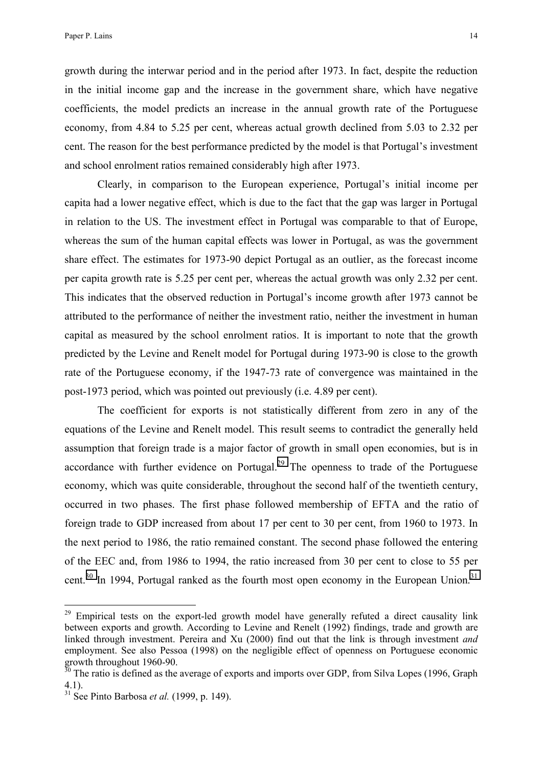growth during the interwar period and in the period after 1973. In fact, despite the reduction in the initial income gap and the increase in the government share, which have negative coefficients, the model predicts an increase in the annual growth rate of the Portuguese economy, from 4.84 to 5.25 per cent, whereas actual growth declined from 5.03 to 2.32 per cent. The reason for the best performance predicted by the model is that Portugal's investment and school enrolment ratios remained considerably high after 1973.

Clearly, in comparison to the European experience, Portugal's initial income per capita had a lower negative effect, which is due to the fact that the gap was larger in Portugal in relation to the US. The investment effect in Portugal was comparable to that of Europe, whereas the sum of the human capital effects was lower in Portugal, as was the government share effect. The estimates for 1973-90 depict Portugal as an outlier, as the forecast income per capita growth rate is 5.25 per cent per, whereas the actual growth was only 2.32 per cent. This indicates that the observed reduction in Portugal's income growth after 1973 cannot be attributed to the performance of neither the investment ratio, neither the investment in human capital as measured by the school enrolment ratios. It is important to note that the growth predicted by the Levine and Renelt model for Portugal during 1973-90 is close to the growth rate of the Portuguese economy, if the 1947-73 rate of convergence was maintained in the post-1973 period, which was pointed out previously (i.e. 4.89 per cent).

The coefficient for exports is not statistically different from zero in any of the equations of the Levine and Renelt model. This result seems to contradict the generally held assumption that foreign trade is a major factor of growth in small open economies, but is in accordance with further evidence on Portugal.<sup>29</sup> The openness to trade of the Portuguese economy, which was quite considerable, throughout the second half of the twentieth century, occurred in two phases. The first phase followed membership of EFTA and the ratio of foreign trade to GDP increased from about 17 per cent to 30 per cent, from 1960 to 1973. In the next period to 1986, the ratio remained constant. The second phase followed the entering of the EEC and, from 1986 to 1994, the ratio increased from 30 per cent to close to 55 per cent.<sup>30</sup> In 1994, Portugal ranked as the fourth most open economy in the European Union.<sup>31</sup>

<sup>&</sup>lt;sup>29</sup> Empirical tests on the export-led growth model have generally refuted a direct causality link between exports and growth. According to Levine and Renelt (1992) findings, trade and growth are linked through investment. Pereira and Xu (2000) find out that the link is through investment *and*  employment. See also Pessoa (1998) on the negligible effect of openness on Portuguese economic growth throughout 1960-90.

 $30$  The ratio is defined as the average of exports and imports over GDP, from Silva Lopes (1996, Graph 4.1).

 $31\text{ See}$  Pinto Barbosa *et al.* (1999, p. 149).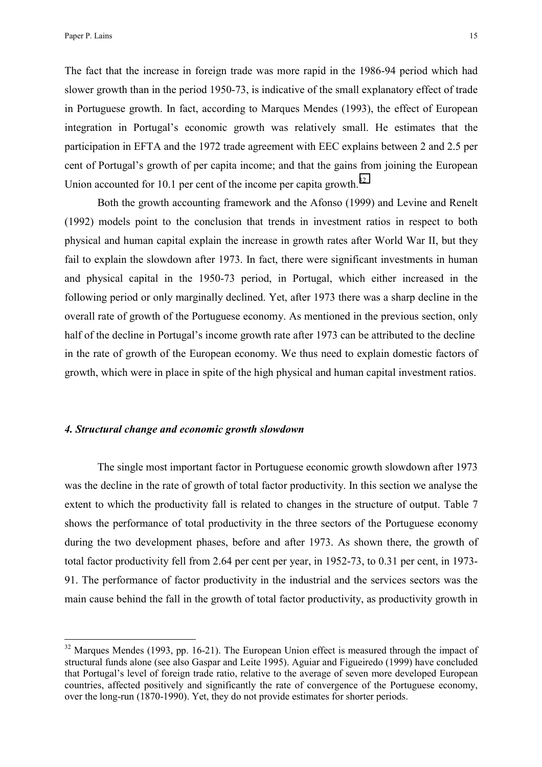$\overline{a}$ 

The fact that the increase in foreign trade was more rapid in the 1986-94 period which had slower growth than in the period 1950-73, is indicative of the small explanatory effect of trade in Portuguese growth. In fact, according to Marques Mendes (1993), the effect of European integration in Portugal's economic growth was relatively small. He estimates that the participation in EFTA and the 1972 trade agreement with EEC explains between 2 and 2.5 per cent of Portugal's growth of per capita income; and that the gains from joining the European Union accounted for 10.1 per cent of the income per capita growth. $32$ 

Both the growth accounting framework and the Afonso (1999) and Levine and Renelt (1992) models point to the conclusion that trends in investment ratios in respect to both physical and human capital explain the increase in growth rates after World War II, but they fail to explain the slowdown after 1973. In fact, there were significant investments in human and physical capital in the 1950-73 period, in Portugal, which either increased in the following period or only marginally declined. Yet, after 1973 there was a sharp decline in the overall rate of growth of the Portuguese economy. As mentioned in the previous section, only half of the decline in Portugal's income growth rate after 1973 can be attributed to the decline in the rate of growth of the European economy. We thus need to explain domestic factors of growth, which were in place in spite of the high physical and human capital investment ratios.

### *4. Structural change and economic growth slowdown*

The single most important factor in Portuguese economic growth slowdown after 1973 was the decline in the rate of growth of total factor productivity. In this section we analyse the extent to which the productivity fall is related to changes in the structure of output. Table 7 shows the performance of total productivity in the three sectors of the Portuguese economy during the two development phases, before and after 1973. As shown there, the growth of total factor productivity fell from 2.64 per cent per year, in 1952-73, to 0.31 per cent, in 1973- 91. The performance of factor productivity in the industrial and the services sectors was the main cause behind the fall in the growth of total factor productivity, as productivity growth in

 $32$  Marques Mendes (1993, pp. 16-21). The European Union effect is measured through the impact of structural funds alone (see also Gaspar and Leite 1995). Aguiar and Figueiredo (1999) have concluded that Portugal's level of foreign trade ratio, relative to the average of seven more developed European countries, affected positively and significantly the rate of convergence of the Portuguese economy, over the long-run (1870-1990). Yet, they do not provide estimates for shorter periods.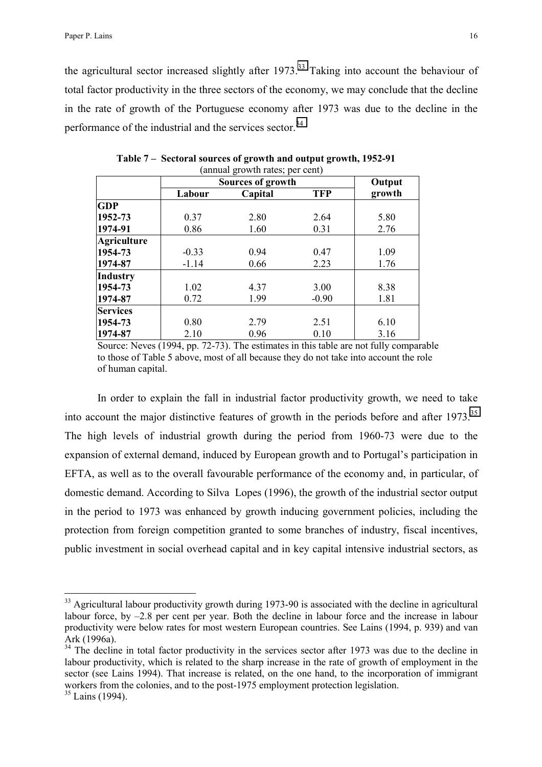the agricultural sector increased slightly after  $1973$ <sup>33</sup> Taking into account the behaviour of total factor productivity in the three sectors of the economy, we may conclude that the decline in the rate of growth of the Portuguese economy after 1973 was due to the decline in the performance of the industrial and the services sector.<sup>34</sup>

|                    | annual growth rates, per cent) | Output                       |            |        |
|--------------------|--------------------------------|------------------------------|------------|--------|
|                    | Labour                         | Sources of growth<br>Capital | <b>TFP</b> | growth |
| <b>GDP</b>         |                                |                              |            |        |
| 1952-73            | 0.37                           | 2.80                         | 2.64       | 5.80   |
| 1974-91            | 0.86                           | 1.60                         | 0.31       | 2.76   |
| <b>Agriculture</b> |                                |                              |            |        |
| 1954-73            | $-0.33$                        | 0.94                         | 0.47       | 1.09   |
| 1974-87            | $-1.14$                        | 0.66                         | 2.23       | 1.76   |
| Industry           |                                |                              |            |        |
| 1954-73            | 1.02                           | 4.37                         | 3.00       | 8.38   |
| 1974-87            | 0.72                           | 1.99                         | $-0.90$    | 1.81   |
| <b>Services</b>    |                                |                              |            |        |
| 1954-73            | 0.80                           | 2.79                         | 2.51       | 6.10   |
| 1974-87            | 2.10                           | 0.96                         | 0.10       | 3.16   |

 **Table 7 – Sectoral sources of growth and output growth, 1952-91** (annual growth rates; per cent)

Source: Neves (1994, pp. 72-73). The estimates in this table are not fully comparable to those of Table 5 above, most of all because they do not take into account the role of human capital.

In order to explain the fall in industrial factor productivity growth, we need to take into account the major distinctive features of growth in the periods before and after  $1973$ .<sup>35</sup> The high levels of industrial growth during the period from 1960-73 were due to the expansion of external demand, induced by European growth and to Portugal's participation in EFTA, as well as to the overall favourable performance of the economy and, in particular, of domestic demand. According to Silva Lopes (1996), the growth of the industrial sector output in the period to 1973 was enhanced by growth inducing government policies, including the protection from foreign competition granted to some branches of industry, fiscal incentives, public investment in social overhead capital and in key capital intensive industrial sectors, as

<sup>&</sup>lt;sup>33</sup> Agricultural labour productivity growth during 1973-90 is associated with the decline in agricultural labour force, by –2.8 per cent per year. Both the decline in labour force and the increase in labour productivity were below rates for most western European countries. See Lains (1994, p. 939) and van Ark (1996a).

<sup>&</sup>lt;sup>34</sup> The decline in total factor productivity in the services sector after 1973 was due to the decline in labour productivity, which is related to the sharp increase in the rate of growth of employment in the sector (see Lains 1994). That increase is related, on the one hand, to the incorporation of immigrant workers from the colonies, and to the post-1975 employment protection legislation.

<sup>&</sup>lt;sup>35</sup> Lains (1994).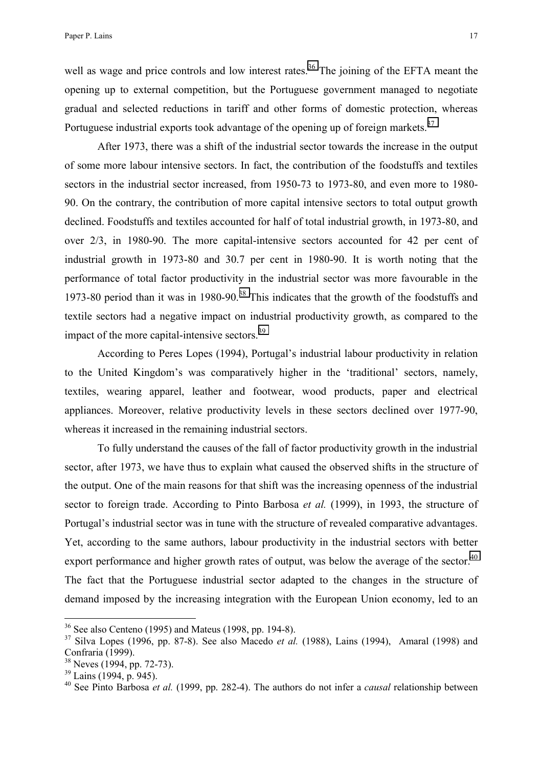well as wage and price controls and low interest rates.<sup>36</sup> The joining of the EFTA meant the opening up to external competition, but the Portuguese government managed to negotiate gradual and selected reductions in tariff and other forms of domestic protection, whereas Portuguese industrial exports took advantage of the opening up of foreign markets.<sup>37</sup>

After 1973, there was a shift of the industrial sector towards the increase in the output of some more labour intensive sectors. In fact, the contribution of the foodstuffs and textiles sectors in the industrial sector increased, from 1950-73 to 1973-80, and even more to 1980- 90. On the contrary, the contribution of more capital intensive sectors to total output growth declined. Foodstuffs and textiles accounted for half of total industrial growth, in 1973-80, and over 2/3, in 1980-90. The more capital-intensive sectors accounted for 42 per cent of industrial growth in 1973-80 and 30.7 per cent in 1980-90. It is worth noting that the performance of total factor productivity in the industrial sector was more favourable in the 1973-80 period than it was in 1980-90.<sup>38</sup> This indicates that the growth of the foodstuffs and textile sectors had a negative impact on industrial productivity growth, as compared to the impact of the more capital-intensive sectors.<sup>39</sup>

According to Peres Lopes (1994), Portugal's industrial labour productivity in relation to the United Kingdom's was comparatively higher in the 'traditional' sectors, namely, textiles, wearing apparel, leather and footwear, wood products, paper and electrical appliances. Moreover, relative productivity levels in these sectors declined over 1977-90, whereas it increased in the remaining industrial sectors.

To fully understand the causes of the fall of factor productivity growth in the industrial sector, after 1973, we have thus to explain what caused the observed shifts in the structure of the output. One of the main reasons for that shift was the increasing openness of the industrial sector to foreign trade. According to Pinto Barbosa *et al.* (1999), in 1993, the structure of Portugal's industrial sector was in tune with the structure of revealed comparative advantages. Yet, according to the same authors, labour productivity in the industrial sectors with better export performance and higher growth rates of output, was below the average of the sector.<sup>40</sup> The fact that the Portuguese industrial sector adapted to the changes in the structure of demand imposed by the increasing integration with the European Union economy, led to an

 $36$  See also Centeno (1995) and Mateus (1998, pp. 194-8).

<sup>37</sup> Silva Lopes (1996, pp. 87-8). See also Macedo *et al.* (1988), Lains (1994), Amaral (1998) and Confraria (1999).

 $38$  Neves (1994, pp. 72-73).

 $39$  Lains (1994, p. 945).

<sup>40</sup> See Pinto Barbosa *et al.* (1999, pp. 282-4). The authors do not infer a *causal* relationship between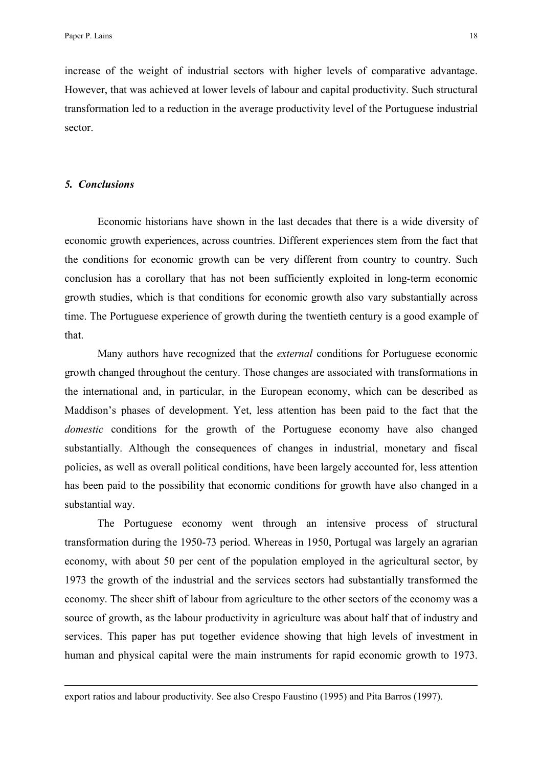increase of the weight of industrial sectors with higher levels of comparative advantage. However, that was achieved at lower levels of labour and capital productivity. Such structural transformation led to a reduction in the average productivity level of the Portuguese industrial sector.

### *5. Conclusions*

 $\overline{a}$ 

 Economic historians have shown in the last decades that there is a wide diversity of economic growth experiences, across countries. Different experiences stem from the fact that the conditions for economic growth can be very different from country to country. Such conclusion has a corollary that has not been sufficiently exploited in long-term economic growth studies, which is that conditions for economic growth also vary substantially across time. The Portuguese experience of growth during the twentieth century is a good example of that.

 Many authors have recognized that the *external* conditions for Portuguese economic growth changed throughout the century. Those changes are associated with transformations in the international and, in particular, in the European economy, which can be described as Maddison's phases of development. Yet, less attention has been paid to the fact that the *domestic* conditions for the growth of the Portuguese economy have also changed substantially. Although the consequences of changes in industrial, monetary and fiscal policies, as well as overall political conditions, have been largely accounted for, less attention has been paid to the possibility that economic conditions for growth have also changed in a substantial way.

 The Portuguese economy went through an intensive process of structural transformation during the 1950-73 period. Whereas in 1950, Portugal was largely an agrarian economy, with about 50 per cent of the population employed in the agricultural sector, by 1973 the growth of the industrial and the services sectors had substantially transformed the economy. The sheer shift of labour from agriculture to the other sectors of the economy was a source of growth, as the labour productivity in agriculture was about half that of industry and services. This paper has put together evidence showing that high levels of investment in human and physical capital were the main instruments for rapid economic growth to 1973.

export ratios and labour productivity. See also Crespo Faustino (1995) and Pita Barros (1997).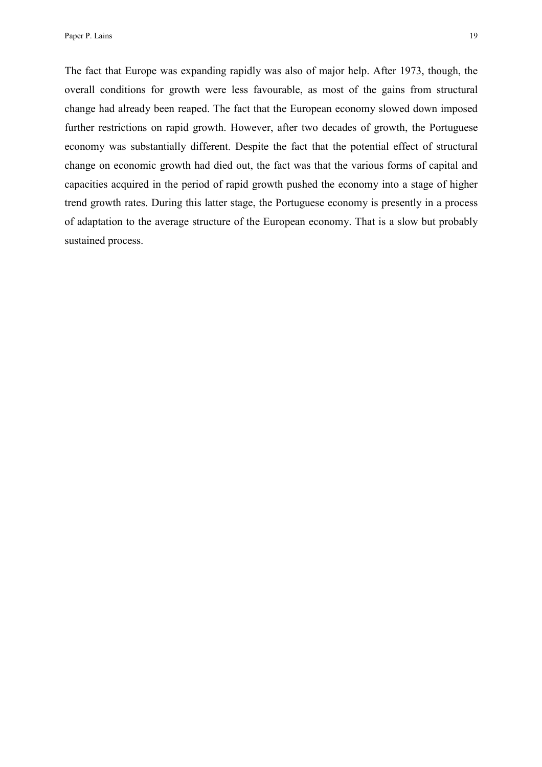The fact that Europe was expanding rapidly was also of major help. After 1973, though, the overall conditions for growth were less favourable, as most of the gains from structural change had already been reaped. The fact that the European economy slowed down imposed further restrictions on rapid growth. However, after two decades of growth, the Portuguese economy was substantially different. Despite the fact that the potential effect of structural change on economic growth had died out, the fact was that the various forms of capital and capacities acquired in the period of rapid growth pushed the economy into a stage of higher trend growth rates. During this latter stage, the Portuguese economy is presently in a process of adaptation to the average structure of the European economy. That is a slow but probably sustained process.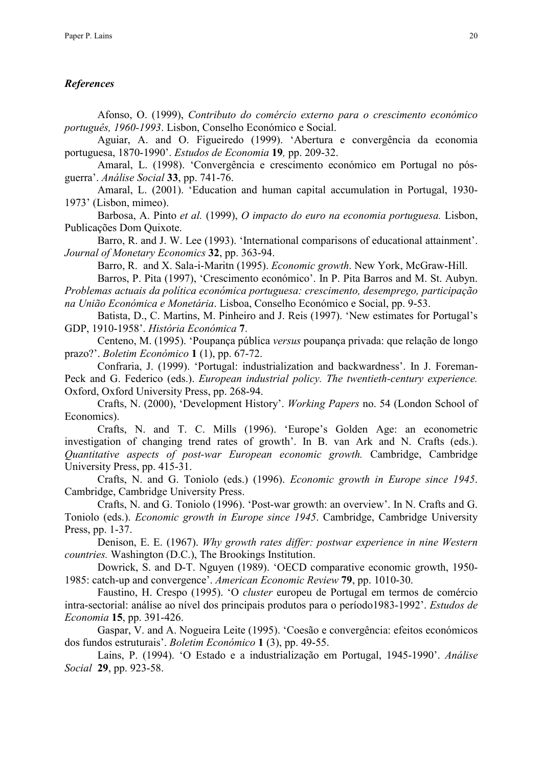### *References*

Afonso, O. (1999), *Contributo do comércio externo para o crescimento económico português, 1960-1993*. Lisbon, Conselho Económico e Social.

Aguiar, A. and O. Figueiredo (1999). 'Abertura e convergência da economia portuguesa, 1870-1990'. *Estudos de Economia* **19***,* pp. 209-32.

Amaral, L. (1998). 'Convergência e crescimento económico em Portugal no pósguerra'. *Análise Social* **33**, pp. 741-76.

Amaral, L. (2001). 'Education and human capital accumulation in Portugal, 1930- 1973' (Lisbon, mimeo).

Barbosa, A. Pinto *et al.* (1999), *O impacto do euro na economia portuguesa.* Lisbon, Publicações Dom Quixote.

Barro, R. and J. W. Lee (1993). 'International comparisons of educational attainment'. *Journal of Monetary Economics* **32**, pp. 363-94.

Barro, R. and X. Sala-i-Maritn (1995). *Economic growth*. New York, McGraw-Hill.

Barros, P. Pita (1997), 'Crescimento económico'. In P. Pita Barros and M. St. Aubyn. *Problemas actuais da política económica portuguesa: crescimento, desemprego, participação na União Económica e Monetária*. Lisboa, Conselho Económico e Social, pp. 9-53.

Batista, D., C. Martins, M. Pinheiro and J. Reis (1997). 'New estimates for Portugal's GDP, 1910-1958'. *História Económica* **7**.

Centeno, M. (1995). 'Poupança pública *versus* poupança privada: que relação de longo prazo?'. *Boletim Económico* **1** (1), pp. 67-72.

Confraria, J. (1999). 'Portugal: industrialization and backwardness'. In J. Foreman-Peck and G. Federico (eds.). *European industrial policy. The twentieth-century experience.*  Oxford, Oxford University Press, pp. 268-94.

 Crafts, N. (2000), 'Development History'. *Working Papers* no. 54 (London School of Economics).

Crafts, N. and T. C. Mills (1996). 'Europe's Golden Age: an econometric investigation of changing trend rates of growth'. In B. van Ark and N. Crafts (eds.). *Quantitative aspects of post-war European economic growth.* Cambridge, Cambridge University Press, pp. 415-31.

Crafts, N. and G. Toniolo (eds.) (1996). *Economic growth in Europe since 1945*. Cambridge, Cambridge University Press.

Crafts, N. and G. Toniolo (1996). 'Post-war growth: an overview'. In N. Crafts and G. Toniolo (eds.). *Economic growth in Europe since 1945*. Cambridge, Cambridge University Press, pp. 1-37.

Denison, E. E. (1967). *Why growth rates differ: postwar experience in nine Western countries.* Washington (D.C.), The Brookings Institution.

Dowrick, S. and D-T. Nguyen (1989). 'OECD comparative economic growth, 1950- 1985: catch-up and convergence'. *American Economic Review* **79**, pp. 1010-30.

Faustino, H. Crespo (1995). 'O *cluster* europeu de Portugal em termos de comércio intra-sectorial: análise ao nível dos principais produtos para o período1983-1992'. *Estudos de Economia* **15**, pp. 391-426.

Gaspar, V. and A. Nogueira Leite (1995). 'Coesão e convergência: efeitos económicos dos fundos estruturais'. *Boletim Económico* **1** (3), pp. 49-55.

Lains, P. (1994). 'O Estado e a industrialização em Portugal, 1945-1990'. *Análise Social* **29**, pp. 923-58.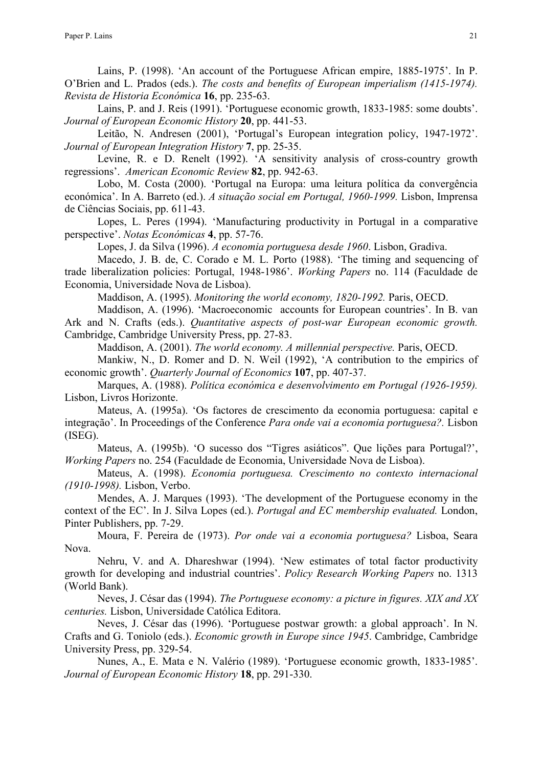Lains, P. (1998). 'An account of the Portuguese African empire, 1885-1975'. In P. O'Brien and L. Prados (eds.). *The costs and benefits of European imperialism (1415-1974). Revista de Historia Económica* **16**, pp. 235-63.

 Lains, P. and J. Reis (1991). 'Portuguese economic growth, 1833-1985: some doubts'. *Journal of European Economic History* **20**, pp. 441-53.

 Leitão, N. Andresen (2001), 'Portugal's European integration policy, 1947-1972'. *Journal of European Integration History* **7**, pp. 25-35.

Levine, R. e D. Renelt (1992). 'A sensitivity analysis of cross-country growth regressions'. *American Economic Review* **82**, pp. 942-63.

Lobo, M. Costa (2000). 'Portugal na Europa: uma leitura política da convergência económica'. In A. Barreto (ed.). *A situação social em Portugal, 1960-1999.* Lisbon, Imprensa de Ciências Sociais, pp. 611-43.

Lopes, L. Peres (1994). 'Manufacturing productivity in Portugal in a comparative perspective'. *Notas Económicas* **4**, pp. 57-76.

Lopes, J. da Silva (1996). *A economia portuguesa desde 1960*. Lisbon, Gradiva.

Macedo, J. B. de, C. Corado e M. L. Porto (1988). 'The timing and sequencing of trade liberalization policies: Portugal, 1948-1986'. *Working Papers* no. 114 (Faculdade de Economia, Universidade Nova de Lisboa).

Maddison, A. (1995). *Monitoring the world economy, 1820-1992.* Paris, OECD.

Maddison, A. (1996). 'Macroeconomic accounts for European countries'. In B. van Ark and N. Crafts (eds.). *Quantitative aspects of post-war European economic growth.*  Cambridge, Cambridge University Press, pp. 27-83.

Maddison, A. (2001). *The world economy. A millennial perspective.* Paris, OECD.

Mankiw, N., D. Romer and D. N. Weil (1992), 'A contribution to the empirics of economic growth'. *Quarterly Journal of Economics* **107**, pp. 407-37.

Marques, A. (1988). *Política económica e desenvolvimento em Portugal (1926-1959).*  Lisbon, Livros Horizonte.

Mateus, A. (1995a). 'Os factores de crescimento da economia portuguesa: capital e integração'. In Proceedings of the Conference *Para onde vai a economia portuguesa?.* Lisbon (ISEG).

Mateus, A. (1995b). 'O sucesso dos "Tigres asiáticos". Que lições para Portugal?', *Working Papers* no. 254 (Faculdade de Economia, Universidade Nova de Lisboa).

Mateus, A. (1998). *Economia portuguesa. Crescimento no contexto internacional (1910-1998).* Lisbon, Verbo.

Mendes, A. J. Marques (1993). 'The development of the Portuguese economy in the context of the EC'. In J. Silva Lopes (ed.). *Portugal and EC membership evaluated.* London, Pinter Publishers, pp. 7-29.

Moura, F. Pereira de (1973). *Por onde vai a economia portuguesa?* Lisboa, Seara Nova.

 Nehru, V. and A. Dhareshwar (1994). 'New estimates of total factor productivity growth for developing and industrial countries'. *Policy Research Working Papers* no. 1313 (World Bank).

 Neves, J. César das (1994). *The Portuguese economy: a picture in figures. XIX and XX centuries.* Lisbon, Universidade Católica Editora.

Neves, J. César das (1996). 'Portuguese postwar growth: a global approach'. In N. Crafts and G. Toniolo (eds.). *Economic growth in Europe since 1945*. Cambridge, Cambridge University Press, pp. 329-54.

 Nunes, A., E. Mata e N. Valério (1989). 'Portuguese economic growth, 1833-1985'. *Journal of European Economic History* **18**, pp. 291-330.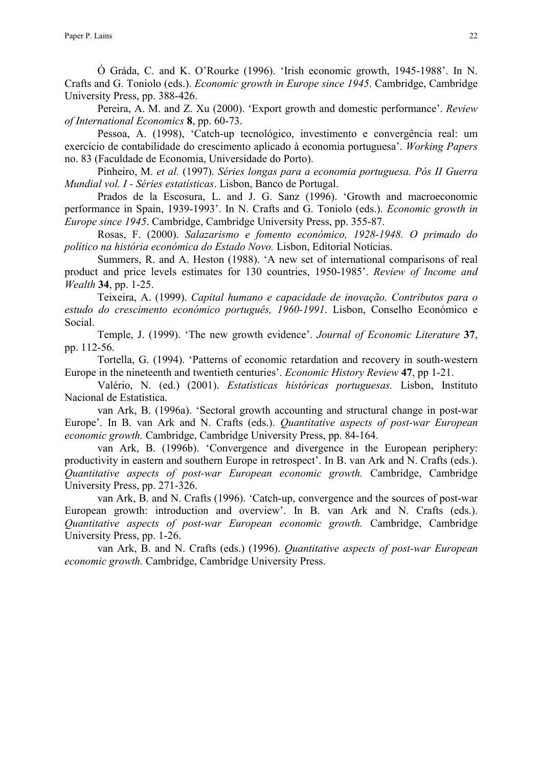Ó Gráda, C. and K. O'Rourke (1996). 'Irish economic growth, 1945-1988'. In N. Crafts and G. Toniolo (eds.). *Economic growth in Europe since 1945*. Cambridge, Cambridge University Press, pp. 388-426.

 Pereira, A. M. and Z. Xu (2000). 'Export growth and domestic performance'. *Review of International Economics* **8**, pp. 60-73.

 Pessoa, A. (1998), 'Catch-up tecnológico, investimento e convergência real: um exercício de contabilidade do crescimento aplicado à economia portuguesa'. *Working Papers*  no. 83 (Faculdade de Economia, Universidade do Porto).

Pinheiro, M. *et al.* (1997). *Séries longas para a economia portuguesa. Pós II Guerra Mundial vol. I - Séries estatísticas*. Lisbon, Banco de Portugal.

Prados de la Escosura, L. and J. G. Sanz (1996). 'Growth and macroeconomic performance in Spain, 1939-1993'. In N. Crafts and G. Toniolo (eds.). *Economic growth in Europe since 1945*. Cambridge, Cambridge University Press, pp. 355-87.

 Rosas, F. (2000). *Salazarismo e fomento económico, 1928-1948. O primado do político na história económica do Estado Novo.* Lisbon, Editorial Notícias.

 Summers, R. and A. Heston (1988). 'A new set of international comparisons of real product and price levels estimates for 130 countries, 1950-1985'. *Review of Income and Wealth* **34**, pp. 1-25.

 Teixeira, A. (1999). *Capital humano e capacidade de inovação. Contributos para o estudo do crescimento económico português, 1960-1991*. Lisbon, Conselho Económico e Social.

 Temple, J. (1999). 'The new growth evidence'. *Journal of Economic Literature* **37**, pp. 112-56.

Tortella, G. (1994). 'Patterns of economic retardation and recovery in south-western Europe in the nineteenth and twentieth centuries'. *Economic History Review* **47**, pp 1-21.

Valério, N. (ed.) (2001). *Estatísticas históricas portuguesas.* Lisbon, Instituto Nacional de Estatística.

van Ark, B. (1996a). 'Sectoral growth accounting and structural change in post-war Europe'. In B. van Ark and N. Crafts (eds.). *Quantitative aspects of post-war European economic growth.* Cambridge, Cambridge University Press, pp. 84-164.

van Ark, B. (1996b). 'Convergence and divergence in the European periphery: productivity in eastern and southern Europe in retrospect'. In B. van Ark and N. Crafts (eds.). *Quantitative aspects of post-war European economic growth.* Cambridge, Cambridge University Press, pp. 271-326.

van Ark, B. and N. Crafts (1996). 'Catch-up, convergence and the sources of post-war European growth: introduction and overview'. In B. van Ark and N. Crafts (eds.). *Quantitative aspects of post-war European economic growth.* Cambridge, Cambridge University Press, pp. 1-26.

 van Ark, B. and N. Crafts (eds.) (1996). *Quantitative aspects of post-war European economic growth.* Cambridge, Cambridge University Press.